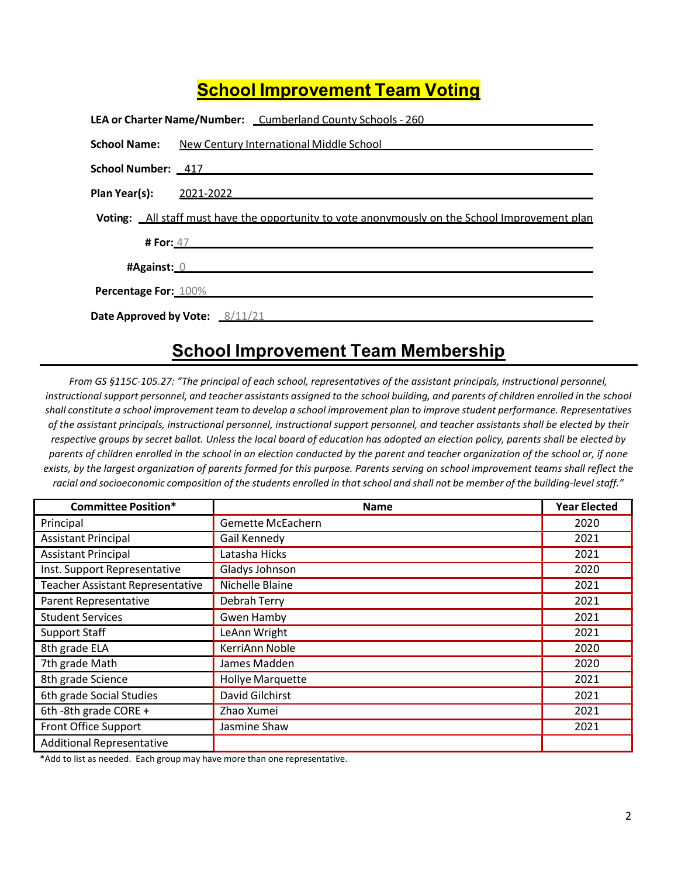## **School Improvement Team Voting**

|                      | LEA or Charter Name/Number: Cumberland County Schools - 260                                    |
|----------------------|------------------------------------------------------------------------------------------------|
| <b>School Name:</b>  | New Century International Middle School                                                        |
|                      | School Number: 417                                                                             |
| Plan Year(s):        | <u>2021-2022</u>                                                                               |
|                      | Voting: All staff must have the opportunity to vote anonymously on the School Improvement plan |
|                      | <b># For:</b> 47                                                                               |
| #Against: 0          |                                                                                                |
| Percentage For: 100% |                                                                                                |
|                      | <b>Date Approved by Vote:</b> 8/11/21                                                          |

# School Improvement Team Membership

From GS §115C-105.27: "The principal of each school, representatives of the assistant principals, instructional personnel, instructional support personnel, and teacher assistants assigned to the school building, and parents of children enrolled in the school shall constitute a school improvement team to develop a school improvement plan to improve student performance. Representatives of the assistant principals, instructional personnel, instructional support personnel, and teacher assistants shall be elected by their respective groups by secret ballot. Unless the local board of education has adopted an election policy, parents shall be elected by parents of children enrolled in the school in an election conducted by the parent and teacher organization of the school or, if none exists, by the largest organization of parents formed for this purpose. Parents serving on school improvement teams shall reflect the racial and socioeconomic composition of the students enrolled in that school and shall not be member of the building-level staff."

| <b>Committee Position*</b>       | <b>Name</b>             | <b>Year Elected</b> |
|----------------------------------|-------------------------|---------------------|
| Principal                        | Gemette McEachern       | 2020                |
| <b>Assistant Principal</b>       | Gail Kennedy            | 2021                |
| <b>Assistant Principal</b>       | Latasha Hicks           | 2021                |
| Inst. Support Representative     | Gladys Johnson          | 2020                |
| Teacher Assistant Representative | Nichelle Blaine         | 2021                |
| Parent Representative            | Debrah Terry            | 2021                |
| <b>Student Services</b>          | <b>Gwen Hamby</b>       | 2021                |
| <b>Support Staff</b>             | LeAnn Wright            | 2021                |
| 8th grade ELA                    | KerriAnn Noble          | 2020                |
| 7th grade Math                   | James Madden            | 2020                |
| 8th grade Science                | <b>Hollye Marquette</b> | 2021                |
| 6th grade Social Studies         | David Gilchirst         | 2021                |
| 6th -8th grade CORE +            | Zhao Xumei              | 2021                |
| <b>Front Office Support</b>      | Jasmine Shaw            | 2021                |
| <b>Additional Representative</b> |                         |                     |

\*Add to list as needed. Each group may have more than one representative.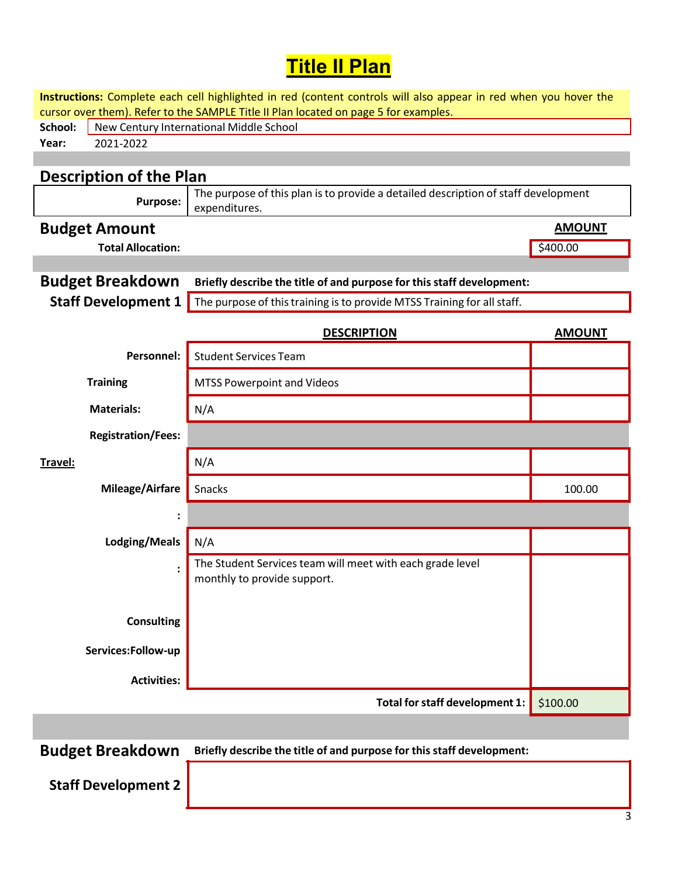# **Title II Plan**

Instructions: Complete each cell highlighted in red (content controls will also appear in red when you hover the cursor over them). Refer to the SAMPLE Title II Plan located on page 5 for examples.

| School: | New Century International Middle School |
|---------|-----------------------------------------|
| Year:   | -202                                    |
|         |                                         |

### Description of the Plan

| Purpose: | expenditures.                                                                      |
|----------|------------------------------------------------------------------------------------|
|          | The purpose of this plan is to provide a detailed description of staff development |

#### **Budget Amount** AMOUNT

Total Allocation:  $\frac{1}{2}$ 

| <b>Budget Breakdown</b> | Briefly describe the title of and purpose for this staff development:                              |  |
|-------------------------|----------------------------------------------------------------------------------------------------|--|
|                         | <b>Staff Development 1</b> The purpose of this training is to provide MTSS Training for all staff. |  |

|                           | <b>DESCRIPTION</b>                                                                       | <b>AMOUNT</b> |
|---------------------------|------------------------------------------------------------------------------------------|---------------|
| Personnel:                | <b>Student Services Team</b>                                                             |               |
| <b>Training</b>           | <b>MTSS Powerpoint and Videos</b>                                                        |               |
| <b>Materials:</b>         | N/A                                                                                      |               |
| <b>Registration/Fees:</b> |                                                                                          |               |
| <u>Travel:</u>            | N/A                                                                                      |               |
| Mileage/Airfare           | Snacks                                                                                   | 100.00        |
| $\ddot{\cdot}$            |                                                                                          |               |
| Lodging/Meals             | N/A                                                                                      |               |
| $\ddot{\cdot}$            | The Student Services team will meet with each grade level<br>monthly to provide support. |               |
|                           |                                                                                          |               |
| <b>Consulting</b>         |                                                                                          |               |
| Services:Follow-up        |                                                                                          |               |
| <b>Activities:</b>        |                                                                                          |               |
|                           | Total for staff development 1:                                                           | \$100.00      |

Budget Breakdown Briefly describe the title of and purpose for this staff development:

Staff Development 2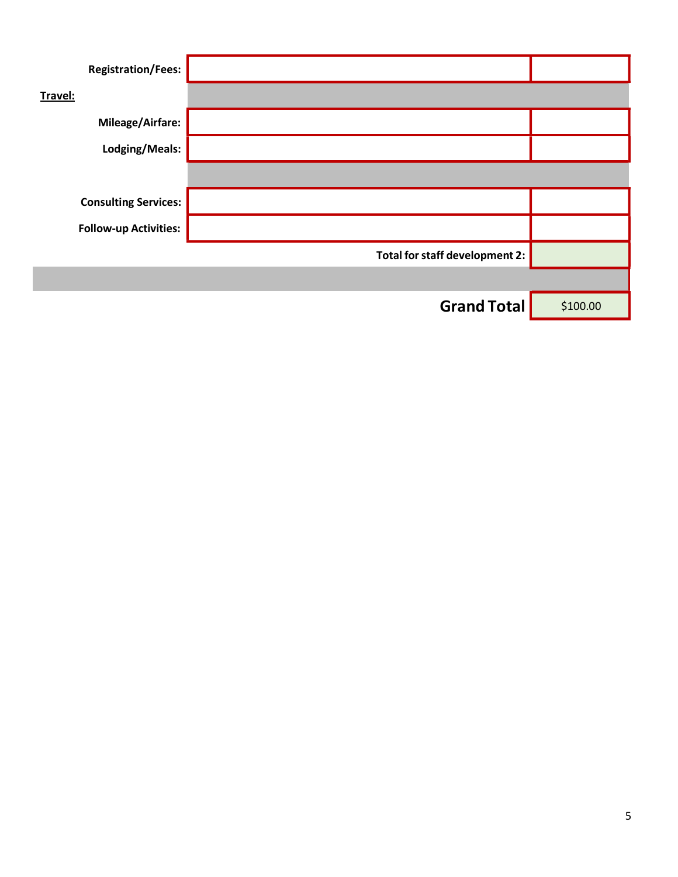| <b>Registration/Fees:</b>    |                                |          |
|------------------------------|--------------------------------|----------|
| Travel:                      |                                |          |
| Mileage/Airfare:             |                                |          |
| Lodging/Meals:               |                                |          |
|                              |                                |          |
| <b>Consulting Services:</b>  |                                |          |
| <b>Follow-up Activities:</b> |                                |          |
|                              | Total for staff development 2: |          |
|                              |                                |          |
|                              | <b>Grand Total</b>             | \$100.00 |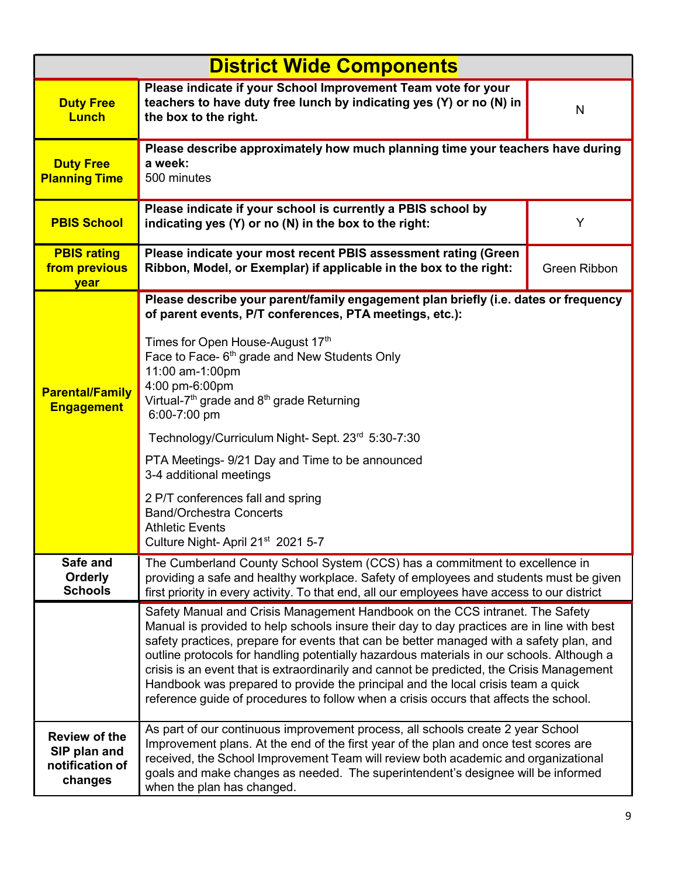| <b>District Wide Components</b>                                    |                                                                                                                                                                                                                                                                                                                                                                                                                                                                                                                                                                                                                                              |              |
|--------------------------------------------------------------------|----------------------------------------------------------------------------------------------------------------------------------------------------------------------------------------------------------------------------------------------------------------------------------------------------------------------------------------------------------------------------------------------------------------------------------------------------------------------------------------------------------------------------------------------------------------------------------------------------------------------------------------------|--------------|
| <b>Duty Free</b><br><b>Lunch</b>                                   | Please indicate if your School Improvement Team vote for your<br>teachers to have duty free lunch by indicating yes (Y) or no (N) in<br>the box to the right.                                                                                                                                                                                                                                                                                                                                                                                                                                                                                | N            |
| <b>Duty Free</b><br><b>Planning Time</b>                           | Please describe approximately how much planning time your teachers have during<br>a week:<br>500 minutes                                                                                                                                                                                                                                                                                                                                                                                                                                                                                                                                     |              |
| <b>PBIS School</b>                                                 | Please indicate if your school is currently a PBIS school by<br>indicating yes (Y) or no (N) in the box to the right:                                                                                                                                                                                                                                                                                                                                                                                                                                                                                                                        | Y            |
| <b>PBIS rating</b><br>from previous<br>year                        | Please indicate your most recent PBIS assessment rating (Green<br>Ribbon, Model, or Exemplar) if applicable in the box to the right:                                                                                                                                                                                                                                                                                                                                                                                                                                                                                                         | Green Ribbon |
|                                                                    | Please describe your parent/family engagement plan briefly (i.e. dates or frequency<br>of parent events, P/T conferences, PTA meetings, etc.):                                                                                                                                                                                                                                                                                                                                                                                                                                                                                               |              |
| <b>Parental/Family</b><br><b>Engagement</b>                        | Times for Open House-August 17th<br>Face to Face- 6 <sup>th</sup> grade and New Students Only<br>11:00 am-1:00pm<br>4:00 pm-6:00pm<br>Virtual-7 <sup>th</sup> grade and 8 <sup>th</sup> grade Returning<br>6:00-7:00 pm                                                                                                                                                                                                                                                                                                                                                                                                                      |              |
|                                                                    | Technology/Curriculum Night-Sept. 23rd 5:30-7:30                                                                                                                                                                                                                                                                                                                                                                                                                                                                                                                                                                                             |              |
|                                                                    | PTA Meetings- 9/21 Day and Time to be announced<br>3-4 additional meetings                                                                                                                                                                                                                                                                                                                                                                                                                                                                                                                                                                   |              |
|                                                                    | 2 P/T conferences fall and spring<br><b>Band/Orchestra Concerts</b><br><b>Athletic Events</b><br>Culture Night-April 21 <sup>st</sup> 2021 5-7                                                                                                                                                                                                                                                                                                                                                                                                                                                                                               |              |
| Safe and<br><b>Orderly</b><br><b>Schools</b>                       | The Cumberland County School System (CCS) has a commitment to excellence in<br>providing a safe and healthy workplace. Safety of employees and students must be given<br>first priority in every activity. To that end, all our employees have access to our district                                                                                                                                                                                                                                                                                                                                                                        |              |
|                                                                    | Safety Manual and Crisis Management Handbook on the CCS intranet. The Safety<br>Manual is provided to help schools insure their day to day practices are in line with best<br>safety practices, prepare for events that can be better managed with a safety plan, and<br>outline protocols for handling potentially hazardous materials in our schools. Although a<br>crisis is an event that is extraordinarily and cannot be predicted, the Crisis Management<br>Handbook was prepared to provide the principal and the local crisis team a quick<br>reference guide of procedures to follow when a crisis occurs that affects the school. |              |
| <b>Review of the</b><br>SIP plan and<br>notification of<br>changes | As part of our continuous improvement process, all schools create 2 year School<br>Improvement plans. At the end of the first year of the plan and once test scores are<br>received, the School Improvement Team will review both academic and organizational<br>goals and make changes as needed. The superintendent's designee will be informed<br>when the plan has changed.                                                                                                                                                                                                                                                              |              |